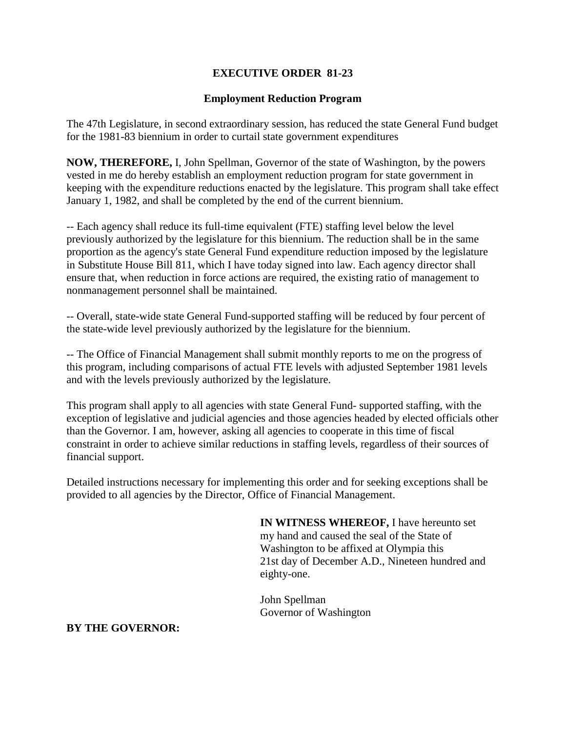## **EXECUTIVE ORDER 81-23**

## **Employment Reduction Program**

The 47th Legislature, in second extraordinary session, has reduced the state General Fund budget for the 1981-83 biennium in order to curtail state government expenditures

**NOW, THEREFORE,** I, John Spellman, Governor of the state of Washington, by the powers vested in me do hereby establish an employment reduction program for state government in keeping with the expenditure reductions enacted by the legislature. This program shall take effect January 1, 1982, and shall be completed by the end of the current biennium.

-- Each agency shall reduce its full-time equivalent (FTE) staffing level below the level previously authorized by the legislature for this biennium. The reduction shall be in the same proportion as the agency's state General Fund expenditure reduction imposed by the legislature in Substitute House Bill 811, which I have today signed into law. Each agency director shall ensure that, when reduction in force actions are required, the existing ratio of management to nonmanagement personnel shall be maintained.

-- Overall, state-wide state General Fund-supported staffing will be reduced by four percent of the state-wide level previously authorized by the legislature for the biennium.

-- The Office of Financial Management shall submit monthly reports to me on the progress of this program, including comparisons of actual FTE levels with adjusted September 1981 levels and with the levels previously authorized by the legislature.

This program shall apply to all agencies with state General Fund- supported staffing, with the exception of legislative and judicial agencies and those agencies headed by elected officials other than the Governor. I am, however, asking all agencies to cooperate in this time of fiscal constraint in order to achieve similar reductions in staffing levels, regardless of their sources of financial support.

Detailed instructions necessary for implementing this order and for seeking exceptions shall be provided to all agencies by the Director, Office of Financial Management.

> **IN WITNESS WHEREOF,** I have hereunto set my hand and caused the seal of the State of Washington to be affixed at Olympia this 21st day of December A.D., Nineteen hundred and eighty-one.

John Spellman Governor of Washington

## **BY THE GOVERNOR:**